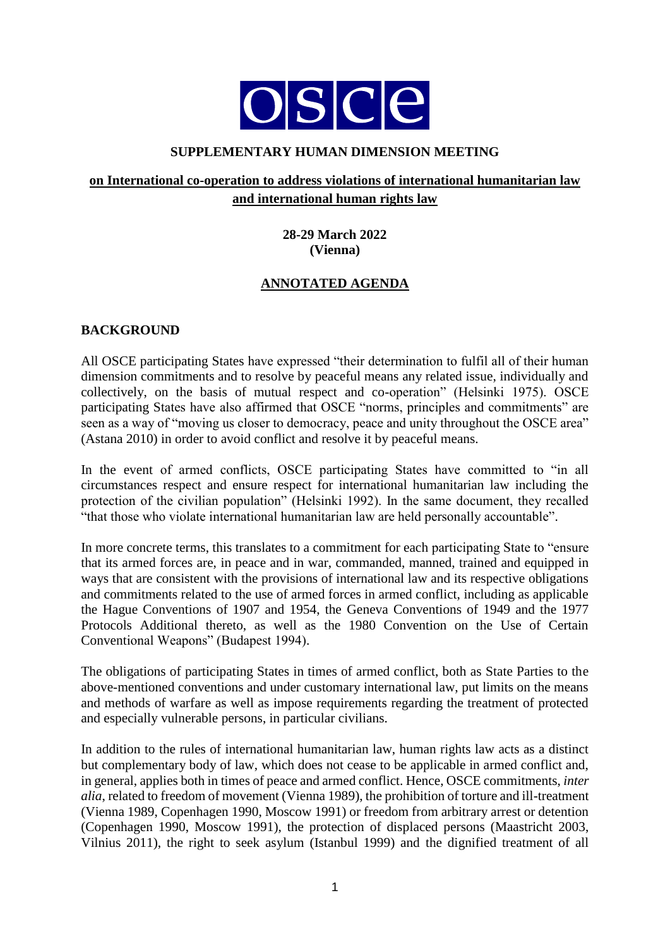

### **SUPPLEMENTARY HUMAN DIMENSION MEETING**

# **on International co-operation to address violations of international humanitarian law and international human rights law**

### **28-29 March 2022 (Vienna)**

## **ANNOTATED AGENDA**

### **BACKGROUND**

All OSCE participating States have expressed "their determination to fulfil all of their human dimension commitments and to resolve by peaceful means any related issue, individually and collectively, on the basis of mutual respect and co-operation" (Helsinki 1975). OSCE participating States have also affirmed that OSCE "norms, principles and commitments" are seen as a way of "moving us closer to democracy, peace and unity throughout the OSCE area" (Astana 2010) in order to avoid conflict and resolve it by peaceful means.

In the event of armed conflicts, OSCE participating States have committed to "in all circumstances respect and ensure respect for international humanitarian law including the protection of the civilian population" (Helsinki 1992). In the same document, they recalled "that those who violate international humanitarian law are held personally accountable".

In more concrete terms, this translates to a commitment for each participating State to "ensure that its armed forces are, in peace and in war, commanded, manned, trained and equipped in ways that are consistent with the provisions of international law and its respective obligations and commitments related to the use of armed forces in armed conflict, including as applicable the Hague Conventions of 1907 and 1954, the Geneva Conventions of 1949 and the 1977 Protocols Additional thereto, as well as the 1980 Convention on the Use of Certain Conventional Weapons" (Budapest 1994).

The obligations of participating States in times of armed conflict, both as State Parties to the above-mentioned conventions and under customary international law, put limits on the means and methods of warfare as well as impose requirements regarding the treatment of protected and especially vulnerable persons, in particular civilians.

In addition to the rules of international humanitarian law, human rights law acts as a distinct but complementary body of law, which does not cease to be applicable in armed conflict and, in general, applies both in times of peace and armed conflict. Hence, OSCE commitments, *inter alia*, related to freedom of movement (Vienna 1989), the prohibition of torture and ill-treatment (Vienna 1989, Copenhagen 1990, Moscow 1991) or freedom from arbitrary arrest or detention (Copenhagen 1990, Moscow 1991), the protection of displaced persons (Maastricht 2003, Vilnius 2011), the right to seek asylum (Istanbul 1999) and the dignified treatment of all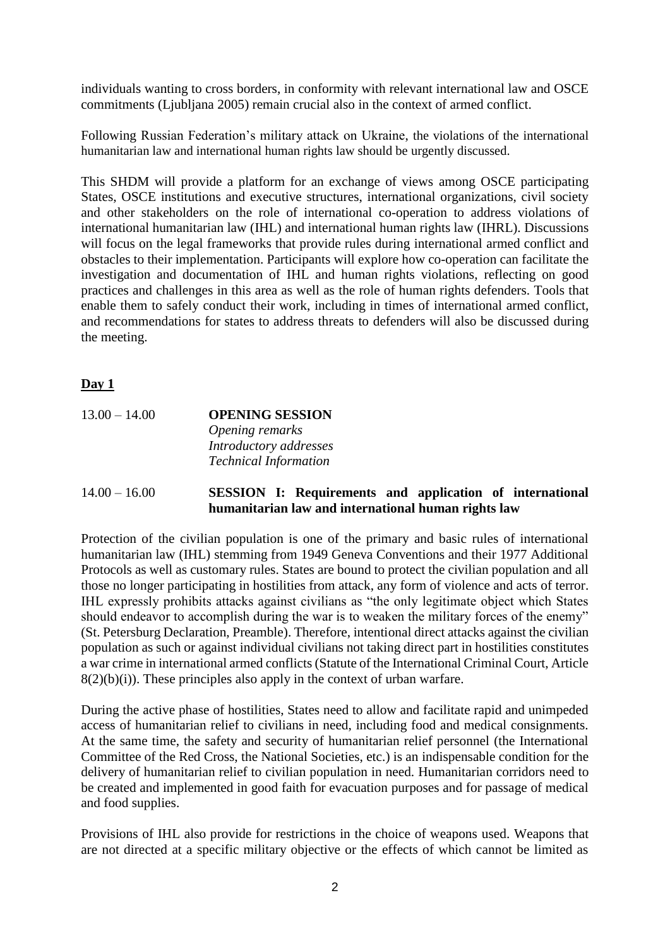individuals wanting to cross borders, in conformity with relevant international law and OSCE commitments (Ljubljana 2005) remain crucial also in the context of armed conflict.

Following Russian Federation's military attack on Ukraine, the violations of the international humanitarian law and international human rights law should be urgently discussed.

This SHDM will provide a platform for an exchange of views among OSCE participating States, OSCE institutions and executive structures, international organizations, civil society and other stakeholders on the role of international co-operation to address violations of international humanitarian law (IHL) and international human rights law (IHRL). Discussions will focus on the legal frameworks that provide rules during international armed conflict and obstacles to their implementation. Participants will explore how co-operation can facilitate the investigation and documentation of IHL and human rights violations, reflecting on good practices and challenges in this area as well as the role of human rights defenders. Tools that enable them to safely conduct their work, including in times of international armed conflict, and recommendations for states to address threats to defenders will also be discussed during the meeting.

## **Day 1**

| $13.00 - 14.00$ | <b>OPENING SESSION</b>       |
|-----------------|------------------------------|
|                 | Opening remarks              |
|                 | Introductory addresses       |
|                 | <b>Technical Information</b> |
|                 |                              |

### 14.00 – 16.00 **SESSION I: Requirements and application of international humanitarian law and international human rights law**

Protection of the civilian population is one of the primary and basic rules of international humanitarian law (IHL) stemming from 1949 Geneva Conventions and their 1977 Additional Protocols as well as customary rules. States are bound to protect the civilian population and all those no longer participating in hostilities from attack, any form of violence and acts of terror. IHL expressly prohibits attacks against civilians as "the only legitimate object which States should endeavor to accomplish during the war is to weaken the military forces of the enemy" (St. Petersburg Declaration, Preamble). Therefore, intentional direct attacks against the civilian population as such or against individual civilians not taking direct part in hostilities constitutes a war crime in international armed conflicts (Statute of the International Criminal Court, Article  $8(2)(b)(i)$ . These principles also apply in the context of urban warfare.

During the active phase of hostilities, States need to allow and facilitate rapid and unimpeded access of humanitarian relief to civilians in need, including food and medical consignments. At the same time, the safety and security of humanitarian relief personnel (the International Committee of the Red Cross, the National Societies, etc.) is an indispensable condition for the delivery of humanitarian relief to civilian population in need. Humanitarian corridors need to be created and implemented in good faith for evacuation purposes and for passage of medical and food supplies.

Provisions of IHL also provide for restrictions in the choice of weapons used. Weapons that are not directed at a specific military objective or the effects of which cannot be limited as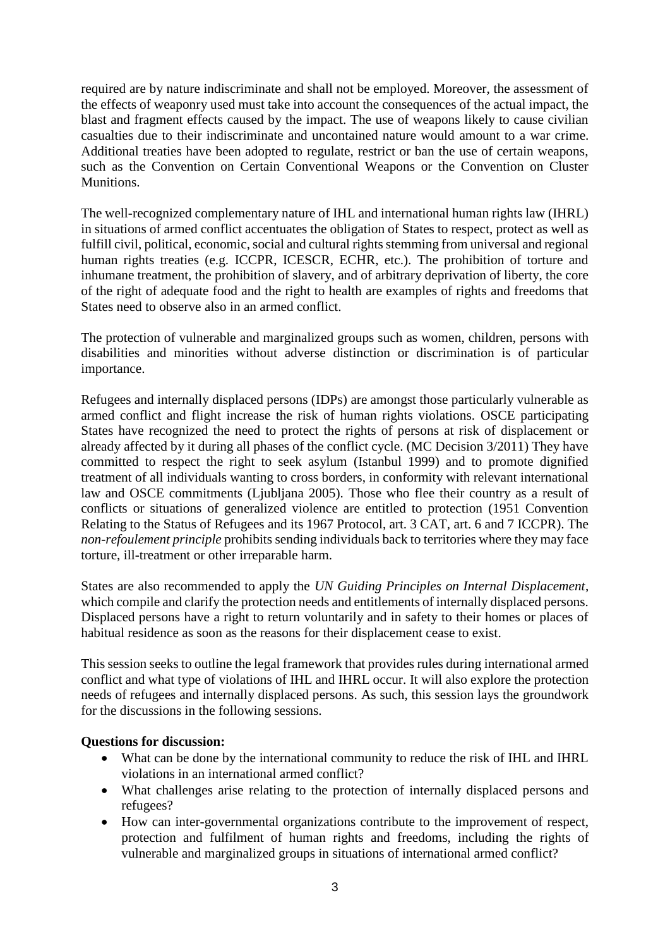required are by nature indiscriminate and shall not be employed. Moreover, the assessment of the effects of weaponry used must take into account the consequences of the actual impact, the blast and fragment effects caused by the impact. The use of weapons likely to cause civilian casualties due to their indiscriminate and uncontained nature would amount to a war crime. Additional treaties have been adopted to regulate, restrict or ban the use of certain weapons, such as the Convention on Certain Conventional Weapons or the Convention on Cluster Munitions.

The well-recognized complementary nature of IHL and international human rights law (IHRL) in situations of armed conflict accentuates the obligation of States to respect, protect as well as fulfill civil, political, economic, social and cultural rights stemming from universal and regional human rights treaties (e.g. ICCPR, ICESCR, ECHR, etc.). The prohibition of torture and inhumane treatment, the prohibition of slavery, and of arbitrary deprivation of liberty, the core of the right of adequate food and the right to health are examples of rights and freedoms that States need to observe also in an armed conflict.

The protection of vulnerable and marginalized groups such as women, children, persons with disabilities and minorities without adverse distinction or discrimination is of particular importance.

Refugees and internally displaced persons (IDPs) are amongst those particularly vulnerable as armed conflict and flight increase the risk of human rights violations. OSCE participating States have recognized the need to protect the rights of persons at risk of displacement or already affected by it during all phases of the conflict cycle. (MC Decision 3/2011) They have committed to respect the right to seek asylum (Istanbul 1999) and to promote dignified treatment of all individuals wanting to cross borders, in conformity with relevant international law and OSCE commitments (Ljubljana 2005). Those who flee their country as a result of conflicts or situations of generalized violence are entitled to protection (1951 Convention Relating to the Status of Refugees and its 1967 Protocol, art. 3 CAT, art. 6 and 7 ICCPR). The *non-refoulement principle* prohibits sending individuals back to territories where they may face torture, ill-treatment or other irreparable harm.

States are also recommended to apply the *UN Guiding Principles on Internal Displacement*, which compile and clarify the protection needs and entitlements of internally displaced persons. Displaced persons have a right to return voluntarily and in safety to their homes or places of habitual residence as soon as the reasons for their displacement cease to exist.

This session seeks to outline the legal framework that provides rules during international armed conflict and what type of violations of IHL and IHRL occur. It will also explore the protection needs of refugees and internally displaced persons. As such, this session lays the groundwork for the discussions in the following sessions.

### **Questions for discussion:**

- What can be done by the international community to reduce the risk of IHL and IHRL violations in an international armed conflict?
- What challenges arise relating to the protection of internally displaced persons and refugees?
- How can inter-governmental organizations contribute to the improvement of respect, protection and fulfilment of human rights and freedoms, including the rights of vulnerable and marginalized groups in situations of international armed conflict?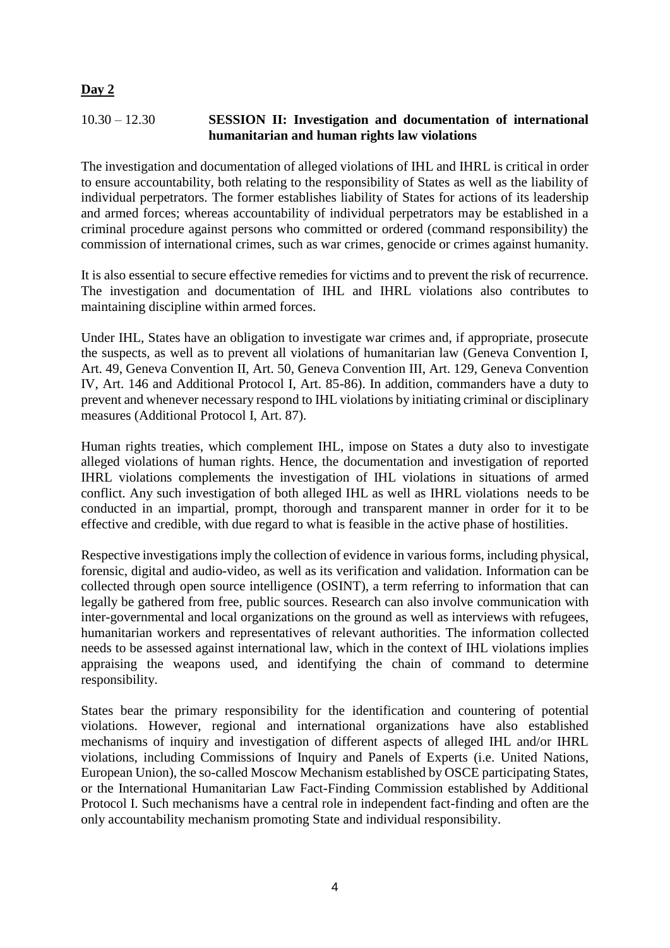## **Day 2**

## 10.30 – 12.30 **SESSION II: Investigation and documentation of international humanitarian and human rights law violations**

The investigation and documentation of alleged violations of IHL and IHRL is critical in order to ensure accountability, both relating to the responsibility of States as well as the liability of individual perpetrators. The former establishes liability of States for actions of its leadership and armed forces; whereas accountability of individual perpetrators may be established in a criminal procedure against persons who committed or ordered (command responsibility) the commission of international crimes, such as war crimes, genocide or crimes against humanity.

It is also essential to secure effective remedies for victims and to prevent the risk of recurrence. The investigation and documentation of IHL and IHRL violations also contributes to maintaining discipline within armed forces.

Under IHL, States have an obligation to investigate war crimes and, if appropriate, prosecute the suspects, as well as to prevent all violations of humanitarian law (Geneva Convention I, Art. 49, Geneva Convention II, Art. 50, Geneva Convention III, Art. 129, Geneva Convention IV, Art. 146 and Additional Protocol I, Art. 85-86). In addition, commanders have a duty to prevent and whenever necessary respond to IHL violations by initiating criminal or disciplinary measures (Additional Protocol I, Art. 87).

Human rights treaties, which complement IHL, impose on States a duty also to investigate alleged violations of human rights. Hence, the documentation and investigation of reported IHRL violations complements the investigation of IHL violations in situations of armed conflict. Any such investigation of both alleged IHL as well as IHRL violations needs to be conducted in an impartial, prompt, thorough and transparent manner in order for it to be effective and credible, with due regard to what is feasible in the active phase of hostilities.

Respective investigations imply the collection of evidence in various forms, including physical, forensic, digital and audio-video, as well as its verification and validation. Information can be collected through open source intelligence (OSINT), a term referring to information that can legally be gathered from free, public sources. Research can also involve communication with inter-governmental and local organizations on the ground as well as interviews with refugees, humanitarian workers and representatives of relevant authorities. The information collected needs to be assessed against international law, which in the context of IHL violations implies appraising the weapons used, and identifying the chain of command to determine responsibility.

States bear the primary responsibility for the identification and countering of potential violations. However, regional and international organizations have also established mechanisms of inquiry and investigation of different aspects of alleged IHL and/or IHRL violations, including Commissions of Inquiry and Panels of Experts (i.e. United Nations, European Union), the so-called Moscow Mechanism established by OSCE participating States, or the International Humanitarian Law Fact-Finding Commission established by Additional Protocol I. Such mechanisms have a central role in independent fact-finding and often are the only accountability mechanism promoting State and individual responsibility.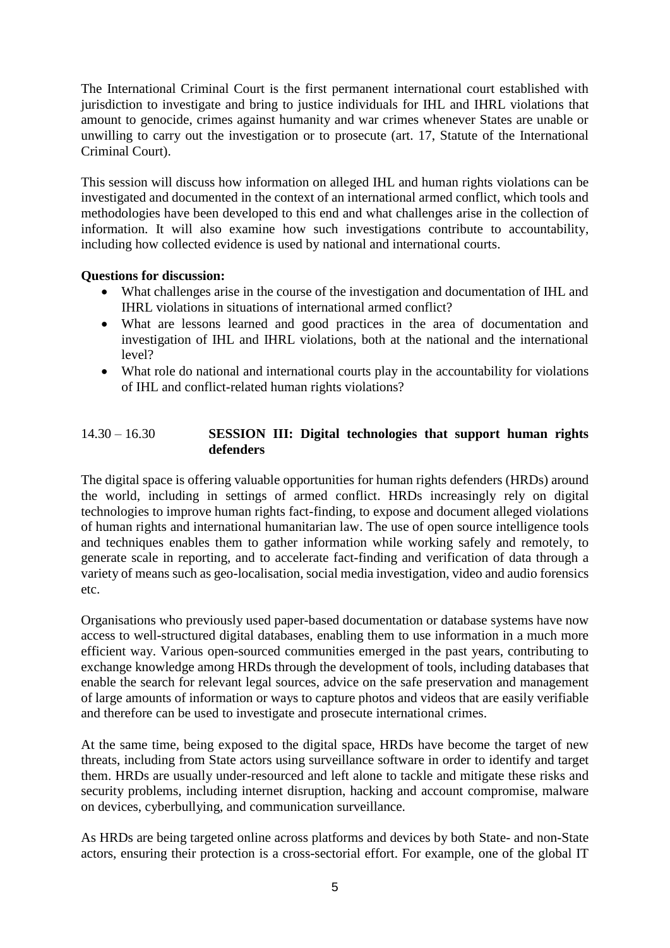The International Criminal Court is the first permanent international court established with jurisdiction to investigate and bring to justice individuals for IHL and IHRL violations that amount to genocide, crimes against humanity and war crimes whenever States are unable or unwilling to carry out the investigation or to prosecute (art. 17, Statute of the International Criminal Court).

This session will discuss how information on alleged IHL and human rights violations can be investigated and documented in the context of an international armed conflict, which tools and methodologies have been developed to this end and what challenges arise in the collection of information. It will also examine how such investigations contribute to accountability, including how collected evidence is used by national and international courts.

### **Questions for discussion:**

- What challenges arise in the course of the investigation and documentation of IHL and IHRL violations in situations of international armed conflict?
- What are lessons learned and good practices in the area of documentation and investigation of IHL and IHRL violations, both at the national and the international level?
- What role do national and international courts play in the accountability for violations of IHL and conflict-related human rights violations?

## 14.30 – 16.30 **SESSION III: Digital technologies that support human rights defenders**

The digital space is offering valuable opportunities for human rights defenders (HRDs) around the world, including in settings of armed conflict. HRDs increasingly rely on digital technologies to improve human rights fact-finding, to expose and document alleged violations of human rights and international humanitarian law. The use of open source intelligence tools and techniques enables them to gather information while working safely and remotely, to generate scale in reporting, and to accelerate fact-finding and verification of data through a variety of means such as geo-localisation, social media investigation, video and audio forensics etc.

Organisations who previously used paper-based documentation or database systems have now access to well-structured digital databases, enabling them to use information in a much more efficient way. Various open-sourced communities emerged in the past years, contributing to exchange knowledge among HRDs through the development of tools, including databases that enable the search for relevant legal sources, advice on the safe preservation and management of large amounts of information or ways to capture photos and videos that are easily verifiable and therefore can be used to investigate and prosecute international crimes.

At the same time, being exposed to the digital space, HRDs have become the target of new threats, including from State actors using surveillance software in order to identify and target them. HRDs are usually under-resourced and left alone to tackle and mitigate these risks and security problems, including internet disruption, hacking and account compromise, malware on devices, cyberbullying, and communication surveillance.

As HRDs are being targeted online across platforms and devices by both State- and non-State actors, ensuring their protection is a cross-sectorial effort. For example, one of the global IT